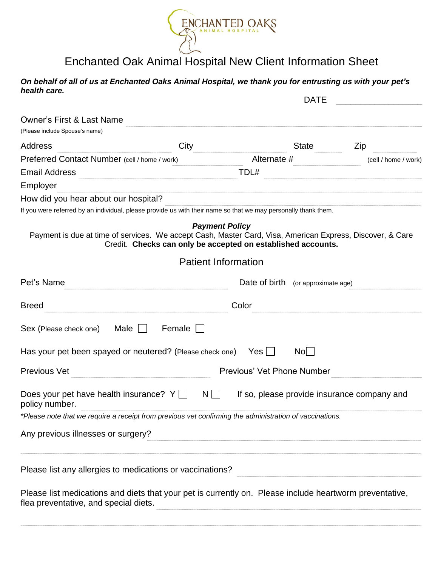

## Enchanted Oak Animal Hospital New Client Information Sheet

## On behalf of all of us at Enchanted Oaks Animal Hospital, we thank you for entrusting us with your pet's health care.

| <b>DATE</b>                                                                                                                                      |                                                                                       |                                             |  |                      |
|--------------------------------------------------------------------------------------------------------------------------------------------------|---------------------------------------------------------------------------------------|---------------------------------------------|--|----------------------|
| <b>Owner's First &amp; Last Name</b>                                                                                                             |                                                                                       |                                             |  |                      |
| (Please include Spouse's name)                                                                                                                   |                                                                                       |                                             |  |                      |
| <b>Address</b>                                                                                                                                   | City                                                                                  | State                                       |  | Zip                  |
| Preferred Contact Number (cell / home / work)                                                                                                    |                                                                                       | Alternate #                                 |  | (cell / home / work) |
| <b>Email Address</b>                                                                                                                             | TDL#                                                                                  |                                             |  |                      |
| Employer                                                                                                                                         |                                                                                       |                                             |  |                      |
| How did you hear about our hospital?                                                                                                             |                                                                                       |                                             |  |                      |
| If you were referred by an individual, please provide us with their name so that we may personally thank them.                                   |                                                                                       |                                             |  |                      |
| Payment is due at time of services. We accept Cash, Master Card, Visa, American Express, Discover, & Care                                        | <b>Payment Policy</b><br>Credit. Checks can only be accepted on established accounts. |                                             |  |                      |
| <b>Patient Information</b>                                                                                                                       |                                                                                       |                                             |  |                      |
| Pet's Name                                                                                                                                       |                                                                                       | Date of birth (or approximate age)          |  |                      |
| <b>Breed</b>                                                                                                                                     | Color                                                                                 |                                             |  |                      |
| Sex (Please check one)<br>Male $\Box$                                                                                                            | Female                                                                                |                                             |  |                      |
| Has your pet been spayed or neutered? (Please check one) Yes $\Box$                                                                              |                                                                                       | Nol                                         |  |                      |
| <b>Previous Vet</b>                                                                                                                              | Previous' Vet Phone Number                                                            |                                             |  |                      |
| Does your pet have health insurance? $Y \cap N$<br>policy number.                                                                                |                                                                                       | If so, please provide insurance company and |  |                      |
| *Please note that we require a receipt from previous vet confirming the administration of vaccinations.                                          |                                                                                       |                                             |  |                      |
| Any previous illnesses or surgery?                                                                                                               |                                                                                       |                                             |  |                      |
| Please list any allergies to medications or vaccinations?                                                                                        |                                                                                       |                                             |  |                      |
| Please list medications and diets that your pet is currently on. Please include heartworm preventative,<br>flea preventative, and special diets. |                                                                                       |                                             |  |                      |